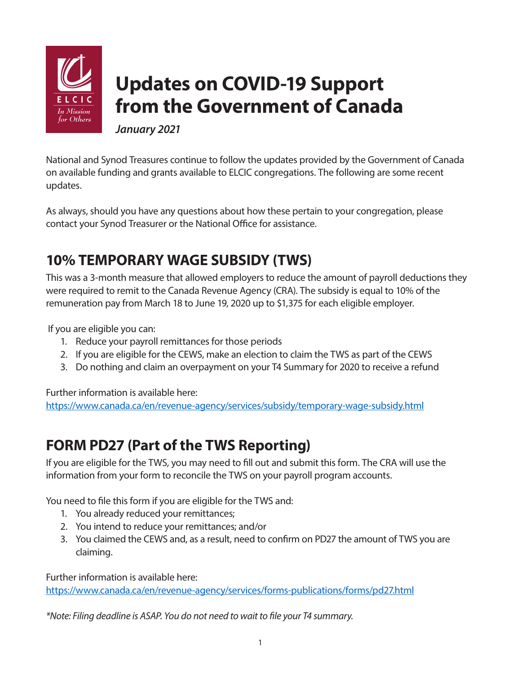

# **Updates on COVID-19 Support from the Government of Canada**

*January 2021* 

National and Synod Treasures continue to follow the updates provided by the Government of Canada on available funding and grants available to ELCIC congregations. The following are some recent updates.

As always, should you have any questions about how these pertain to your congregation, please contact your Synod Treasurer or the National Office for assistance.

### **10% TEMPORARY WAGE SUBSIDY (TWS)**

This was a 3-month measure that allowed employers to reduce the amount of payroll deductions they were required to remit to the Canada Revenue Agency (CRA). The subsidy is equal to 10% of the remuneration pay from March 18 to June 19, 2020 up to \$1,375 for each eligible employer.

If you are eligible you can:

- 1. Reduce your payroll remittances for those periods
- 2. If you are eligible for the CEWS, make an election to claim the TWS as part of the CEWS
- 3. Do nothing and claim an overpayment on your T4 Summary for 2020 to receive a refund

Further information is available here:

<https://www.canada.ca/en/revenue-agency/services/subsidy/temporary-wage-subsidy.html>

## **FORM PD27 (Part of the TWS Reporting)**

If you are eligible for the TWS, you may need to fill out and submit this form. The CRA will use the information from your form to reconcile the TWS on your payroll program accounts.

You need to file this form if you are eligible for the TWS and:

- 1. You already reduced your remittances;
- 2. You intend to reduce your remittances; and/or
- 3. You claimed the CEWS and, as a result, need to confirm on PD27 the amount of TWS you are claiming.

Further information is available here: <https://www.canada.ca/en/revenue-agency/services/forms-publications/forms/pd27.html>

*\*Note: Filing deadline is ASAP. You do not need to wait to file your T4 summary.*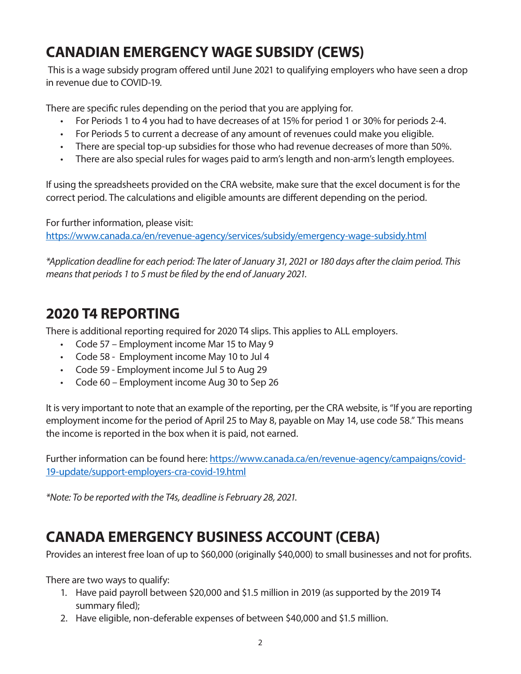## **CANADIAN EMERGENCY WAGE SUBSIDY (CEWS)**

This is a wage subsidy program offered until June 2021 to qualifying employers who have seen a drop in revenue due to COVID-19.

There are specific rules depending on the period that you are applying for.

- For Periods 1 to 4 you had to have decreases of at 15% for period 1 or 30% for periods 2-4.
- For Periods 5 to current a decrease of any amount of revenues could make you eligible.
- There are special top-up subsidies for those who had revenue decreases of more than 50%.
- There are also special rules for wages paid to arm's length and non-arm's length employees.

If using the spreadsheets provided on the CRA website, make sure that the excel document is for the correct period. The calculations and eligible amounts are different depending on the period.

For further information, please visit: <https://www.canada.ca/en/revenue-agency/services/subsidy/emergency-wage-subsidy.html>

*\*Application deadline for each period: The later of January 31, 2021 or 180 days after the claim period. This means that periods 1 to 5 must be filed by the end of January 2021.*

#### **2020 T4 REPORTING**

There is additional reporting required for 2020 T4 slips. This applies to ALL employers.

- Code 57 Employment income Mar 15 to May 9
- Code 58 Employment income May 10 to Jul 4
- Code 59 Employment income Jul 5 to Aug 29
- Code 60 Employment income Aug 30 to Sep 26

It is very important to note that an example of the reporting, per the CRA website, is "If you are reporting employment income for the period of April 25 to May 8, payable on May 14, use code 58." This means the income is reported in the box when it is paid, not earned.

Further information can be found here: [https://www.canada.ca/en/revenue-agency/campaigns/covid-](https://www.canada.ca/en/revenue-agency/campaigns/covid-19-update/support-employers-cra-covid-19.html)[19-update/support-employers-cra-covid-19.html](https://www.canada.ca/en/revenue-agency/campaigns/covid-19-update/support-employers-cra-covid-19.html)

*\*Note: To be reported with the T4s, deadline is February 28, 2021.*

#### **CANADA EMERGENCY BUSINESS ACCOUNT (CEBA)**

Provides an interest free loan of up to \$60,000 (originally \$40,000) to small businesses and not for profits.

There are two ways to qualify:

- 1. Have paid payroll between \$20,000 and \$1.5 million in 2019 (as supported by the 2019 T4 summary filed);
- 2. Have eligible, non-deferable expenses of between \$40,000 and \$1.5 million.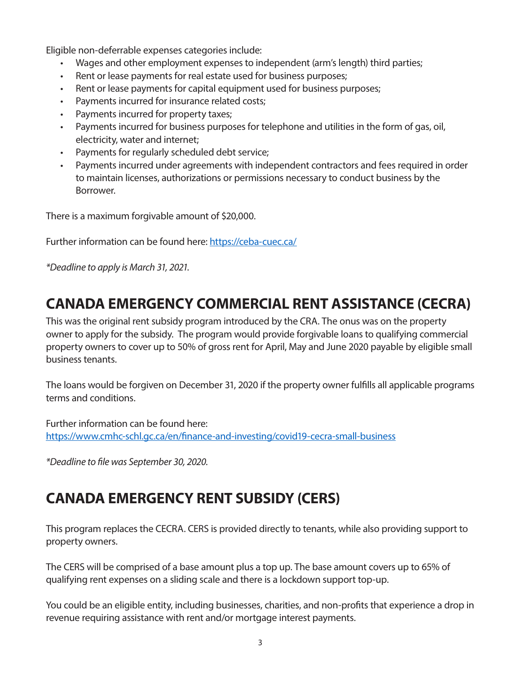Eligible non-deferrable expenses categories include:

- Wages and other employment expenses to independent (arm's length) third parties;
- Rent or lease payments for real estate used for business purposes;
- Rent or lease payments for capital equipment used for business purposes;
- Payments incurred for insurance related costs;
- Payments incurred for property taxes;
- Payments incurred for business purposes for telephone and utilities in the form of gas, oil, electricity, water and internet;
- Payments for regularly scheduled debt service;
- Payments incurred under agreements with independent contractors and fees required in order to maintain licenses, authorizations or permissions necessary to conduct business by the Borrower.

There is a maximum forgivable amount of \$20,000.

Further information can be found here: <https://ceba-cuec.ca/>

*\*Deadline to apply is March 31, 2021.*

## **CANADA EMERGENCY COMMERCIAL RENT ASSISTANCE (CECRA)**

This was the original rent subsidy program introduced by the CRA. The onus was on the property owner to apply for the subsidy. The program would provide forgivable loans to qualifying commercial property owners to cover up to 50% of gross rent for April, May and June 2020 payable by eligible small business tenants.

The loans would be forgiven on December 31, 2020 if the property owner fulfills all applicable programs terms and conditions.

Further information can be found here: <https://www.cmhc-schl.gc.ca/en/finance-and-investing/covid19-cecra-small-business>

*\*Deadline to file was September 30, 2020.*

## **CANADA EMERGENCY RENT SUBSIDY (CERS)**

This program replaces the CECRA. CERS is provided directly to tenants, while also providing support to property owners.

The CERS will be comprised of a base amount plus a top up. The base amount covers up to 65% of qualifying rent expenses on a sliding scale and there is a lockdown support top-up.

You could be an eligible entity, including businesses, charities, and non-profits that experience a drop in revenue requiring assistance with rent and/or mortgage interest payments.